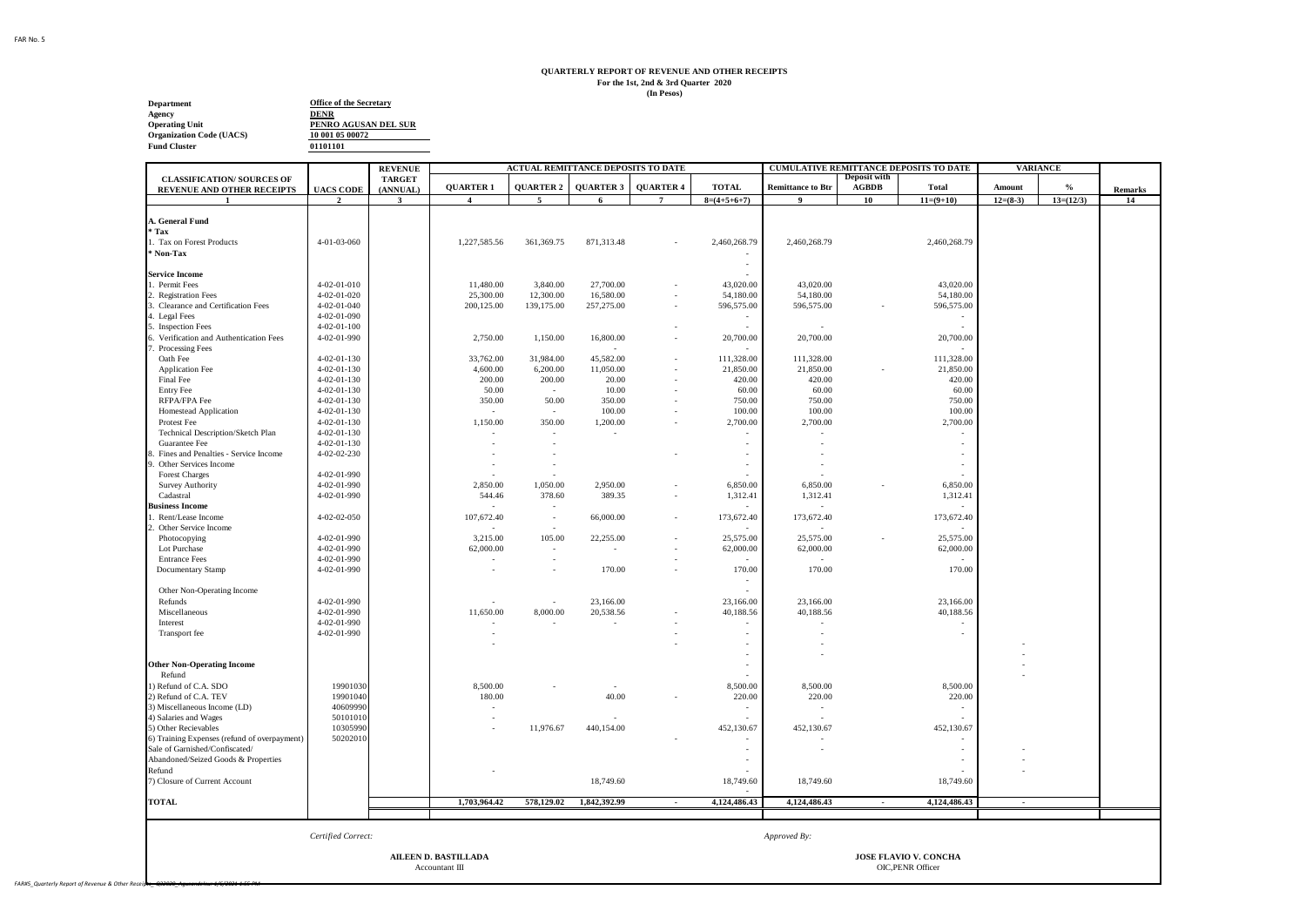## **QUARTERLY REPORT OF REVENUE AND OTHER RECEIPTS For the 1st, 2nd & 3rd Quarter 2020 (In Pesos)**

**Department**<br> **Agency**<br> **Operating Unit**<br> **Organization Code (UACS)**<br>
<u>10 001 05 00072</u> **Fund Cluster**

**01101101 PENRO AGUSAN DEL SUR 10 001 05 00072**

|                                                                 |                     | <b>REVENUE</b>            |                             | <b>ACTUAL REMITTANCE DEPOSITS TO DATE</b> |                  |                  |               |                          |                                     | CUMULATIVE REMITTANCE DEPOSITS TO DATE | <b>VARIANCE</b> |             |
|-----------------------------------------------------------------|---------------------|---------------------------|-----------------------------|-------------------------------------------|------------------|------------------|---------------|--------------------------|-------------------------------------|----------------------------------------|-----------------|-------------|
| <b>CLASSIFICATION/ SOURCES OF</b><br>REVENUE AND OTHER RECEIPTS | <b>UACS CODE</b>    | <b>TARGET</b><br>(ANNUAL) | <b>QUARTER 1</b>            | <b>QUARTER 2</b>                          | <b>QUARTER 3</b> | <b>QUARTER 4</b> | <b>TOTAL</b>  | <b>Remittance to Btr</b> | <b>Deposit with</b><br><b>AGBDB</b> | <b>Total</b>                           | Amount          | $\%$        |
| $\mathbf{1}$                                                    | $\overline{2}$      | $\mathbf{3}$              | $\overline{4}$              | -5                                        | 6                | $7\phantom{.0}$  | $8=(4+5+6+7)$ | 9                        | 10                                  | $11=(9+10)$                            | $12=(8-3)$      | $13=(12/3)$ |
|                                                                 |                     |                           |                             |                                           |                  |                  |               |                          |                                     |                                        |                 |             |
| L. General Fund                                                 |                     |                           |                             |                                           |                  |                  |               |                          |                                     |                                        |                 |             |
| ' Tax                                                           |                     |                           |                             |                                           |                  |                  |               |                          |                                     |                                        |                 |             |
| Tax on Forest Products                                          | 4-01-03-060         |                           | 1,227,585.56                | 361,369.75                                | 871,313.48       |                  | 2,460,268.79  | 2,460,268.79             |                                     | 2,460,268.79                           |                 |             |
| Non-Tax                                                         |                     |                           |                             |                                           |                  |                  |               |                          |                                     |                                        |                 |             |
|                                                                 |                     |                           |                             |                                           |                  |                  | $\sim$        |                          |                                     |                                        |                 |             |
| <b>Service Income</b>                                           |                     |                           |                             |                                           |                  |                  |               |                          |                                     |                                        |                 |             |
| Permit Fees                                                     | 4-02-01-010         |                           | 11,480.00                   | 3,840.00                                  | 27,700.00        |                  | 43,020.00     | 43,020.00                |                                     | 43,020.00                              |                 |             |
| <b>Registration Fees</b>                                        | 4-02-01-020         |                           | 25,300.00                   | 12,300.00                                 | 16,580.00        |                  | 54,180.00     | 54,180.00                |                                     | 54,180.00                              |                 |             |
| Clearance and Certification Fees                                | 4-02-01-040         |                           | 200,125.00                  | 139,175.00                                | 257,275.00       |                  | 596,575.00    | 596,575.00               |                                     | 596,575.00                             |                 |             |
| Legal Fees                                                      | 4-02-01-090         |                           |                             |                                           |                  |                  |               |                          |                                     |                                        |                 |             |
| <b>Inspection Fees</b>                                          | $4 - 02 - 01 - 100$ |                           |                             |                                           |                  |                  |               |                          |                                     |                                        |                 |             |
| Verification and Authentication Fees                            | 4-02-01-990         |                           | 2,750.00                    | 1,150.00                                  | 16,800.00        |                  | 20,700.00     | 20,700.00                |                                     | 20,700.00                              |                 |             |
| Processing Fees                                                 |                     |                           |                             |                                           |                  |                  |               |                          |                                     |                                        |                 |             |
| Oath Fee                                                        | $4 - 02 - 01 - 130$ |                           | 33,762.00                   | 31,984.00                                 | 45,582.00        |                  | 111,328.00    | 111,328.00               |                                     | 111,328.00                             |                 |             |
| <b>Application Fee</b>                                          | $4 - 02 - 01 - 130$ |                           | 4,600.00                    | 6,200.00                                  | 11,050.00        |                  | 21,850.00     | 21,850.00                |                                     | 21,850.00                              |                 |             |
| Final Fee                                                       | 4-02-01-130         |                           | 200.00                      | 200.00                                    |                  |                  | 420.00        | 420.00                   |                                     | 420.00                                 |                 |             |
|                                                                 | $4 - 02 - 01 - 130$ |                           | 50.00                       |                                           | 20.00<br>10.00   |                  | 60.00         | 60.00                    |                                     | 60.00                                  |                 |             |
| <b>Entry Fee</b>                                                |                     |                           |                             |                                           |                  |                  |               |                          |                                     |                                        |                 |             |
| RFPA/FPA Fee                                                    | 4-02-01-130         |                           | 350.00                      | 50.00                                     | 350.00           |                  | 750.00        | 750.00                   |                                     | 750.00                                 |                 |             |
| Homestead Application                                           | 4-02-01-130         |                           |                             |                                           | 100.00           |                  | 100.00        | 100.00                   |                                     | 100.00                                 |                 |             |
| Protest Fee                                                     | $4 - 02 - 01 - 130$ |                           | 1,150.00                    | 350.00                                    | 1,200.00         |                  | 2,700.00      | 2,700.00                 |                                     | 2,700.00                               |                 |             |
| Technical Description/Sketch Plan                               | 4-02-01-130         |                           |                             | $\sim$                                    |                  |                  |               |                          |                                     |                                        |                 |             |
| Guarantee Fee                                                   | 4-02-01-130         |                           |                             |                                           |                  |                  |               |                          |                                     |                                        |                 |             |
| Fines and Penalties - Service Income                            | 4-02-02-230         |                           |                             |                                           |                  |                  |               |                          |                                     |                                        |                 |             |
| Other Services Income                                           |                     |                           |                             |                                           |                  |                  |               |                          |                                     |                                        |                 |             |
| <b>Forest Charges</b>                                           | 4-02-01-990         |                           |                             |                                           |                  |                  |               |                          |                                     |                                        |                 |             |
| Survey Authority                                                | 4-02-01-990         |                           | 2,850.00                    | 1,050.00                                  | 2,950.00         |                  | 6,850.00      | 6,850.00                 |                                     | 6,850.00                               |                 |             |
| Cadastral                                                       | 4-02-01-990         |                           | 544.46                      | 378.60                                    | 389.35           |                  | 1,312.41      | 1,312.41                 |                                     | 1,312.41                               |                 |             |
| <b>Business Income</b>                                          |                     |                           |                             |                                           |                  |                  |               |                          |                                     |                                        |                 |             |
| Rent/Lease Income                                               | 4-02-02-050         |                           | 107,672.40                  | $\sim$                                    | 66,000.00        |                  | 173,672.40    | 173,672.40               |                                     | 173,672.40                             |                 |             |
| Other Service Income                                            |                     |                           |                             |                                           |                  |                  |               |                          |                                     |                                        |                 |             |
| Photocopying                                                    | 4-02-01-990         |                           | 3,215.00                    | 105.00                                    | 22,255.00        |                  | 25,575.00     | 25,575.00                |                                     | 25,575.00                              |                 |             |
|                                                                 | 4-02-01-990         |                           | 62,000.00                   | $\sim$                                    | $\sim$           |                  | 62,000.00     | 62,000.00                |                                     | 62,000.00                              |                 |             |
| Lot Purchase                                                    |                     |                           |                             |                                           |                  |                  |               |                          |                                     |                                        |                 |             |
| <b>Entrance Fees</b>                                            | 4-02-01-990         |                           |                             |                                           |                  |                  |               |                          |                                     |                                        |                 |             |
| Documentary Stamp                                               | 4-02-01-990         |                           |                             |                                           | 170.00           |                  | 170.00        | 170.00                   |                                     | 170.00                                 |                 |             |
|                                                                 |                     |                           |                             |                                           |                  |                  |               |                          |                                     |                                        |                 |             |
| Other Non-Operating Income                                      |                     |                           |                             |                                           |                  |                  |               |                          |                                     |                                        |                 |             |
| Refunds                                                         | 4-02-01-990         |                           |                             | ×.                                        | 23,166.00        |                  | 23,166.00     | 23,166.00                |                                     | 23,166.00                              |                 |             |
| Miscellaneous                                                   | 4-02-01-990         |                           | 11,650.00                   | 8,000.00                                  | 20,538.56        |                  | 40,188.56     | 40,188.56                |                                     | 40,188.56                              |                 |             |
| Interest                                                        | 4-02-01-990         |                           |                             |                                           |                  |                  |               |                          |                                     |                                        |                 |             |
| Transport fee                                                   | 4-02-01-990         |                           |                             |                                           |                  |                  |               |                          |                                     |                                        |                 |             |
|                                                                 |                     |                           |                             |                                           |                  |                  |               |                          |                                     |                                        |                 |             |
|                                                                 |                     |                           |                             |                                           |                  |                  |               |                          |                                     |                                        |                 |             |
| <b>Other Non-Operating Income</b>                               |                     |                           |                             |                                           |                  |                  |               |                          |                                     |                                        |                 |             |
| Refund                                                          |                     |                           |                             |                                           |                  |                  |               |                          |                                     |                                        |                 |             |
| ) Refund of C.A. SDO                                            | 19901030            |                           | 8,500.00                    |                                           |                  |                  | 8,500.00      | 8,500.00                 |                                     | 8,500.00                               |                 |             |
| 2) Refund of C.A. TEV                                           | 19901040            |                           | 180.00                      |                                           | 40.00            |                  | 220.00        | 220.00                   |                                     | 220.00                                 |                 |             |
| 3) Miscellaneous Income (LD)                                    | 40609990            |                           |                             |                                           |                  |                  |               |                          |                                     |                                        |                 |             |
| 4) Salaries and Wages                                           | 50101010            |                           |                             |                                           |                  |                  |               |                          |                                     |                                        |                 |             |
| 5) Other Recievables                                            | 10305990            |                           |                             | 11,976.67                                 | 440,154.00       |                  | 452,130.67    | 452,130.67               |                                     | 452,130.67                             |                 |             |
|                                                                 |                     |                           |                             |                                           |                  |                  |               |                          |                                     |                                        |                 |             |
| 6) Training Expenses (refund of overpayment)                    | 50202010            |                           |                             |                                           |                  |                  |               |                          |                                     |                                        |                 |             |
| Sale of Garnished/Confiscated/                                  |                     |                           |                             |                                           |                  |                  |               |                          |                                     |                                        |                 |             |
| Abandoned/Seized Goods & Properties                             |                     |                           |                             |                                           |                  |                  |               |                          |                                     |                                        |                 |             |
| Refund                                                          |                     |                           |                             |                                           |                  |                  |               |                          |                                     |                                        |                 |             |
| 7) Closure of Current Account                                   |                     |                           |                             |                                           | 18,749.60        |                  | 18,749.60     | 18,749.60                |                                     | 18,749.60                              |                 |             |
|                                                                 |                     |                           |                             |                                           |                  |                  |               |                          |                                     |                                        |                 |             |
| <b>TOTAL</b>                                                    |                     |                           | 1,703,964.42                | 578,129.02                                | 1,842,392.99     |                  | 4,124,486.43  | 4,124,486.43             |                                     | 4,124,486.43                           | $\blacksquare$  |             |
|                                                                 |                     |                           |                             |                                           |                  |                  |               |                          |                                     |                                        |                 |             |
|                                                                 | Certified Correct:  |                           |                             |                                           |                  |                  |               | Approved By:             |                                     |                                        |                 |             |
|                                                                 |                     |                           | <b>AILEEN D. BASTILLADA</b> |                                           |                  |                  |               |                          |                                     | JOSE FLAVIO V. CONCHA                  |                 |             |
|                                                                 |                     |                           |                             |                                           |                  |                  |               |                          |                                     |                                        |                 |             |
|                                                                 |                     |                           | Accountant III              |                                           |                  |                  |               |                          |                                     | OIC, PENR Officer                      |                 |             |

FAR No. 5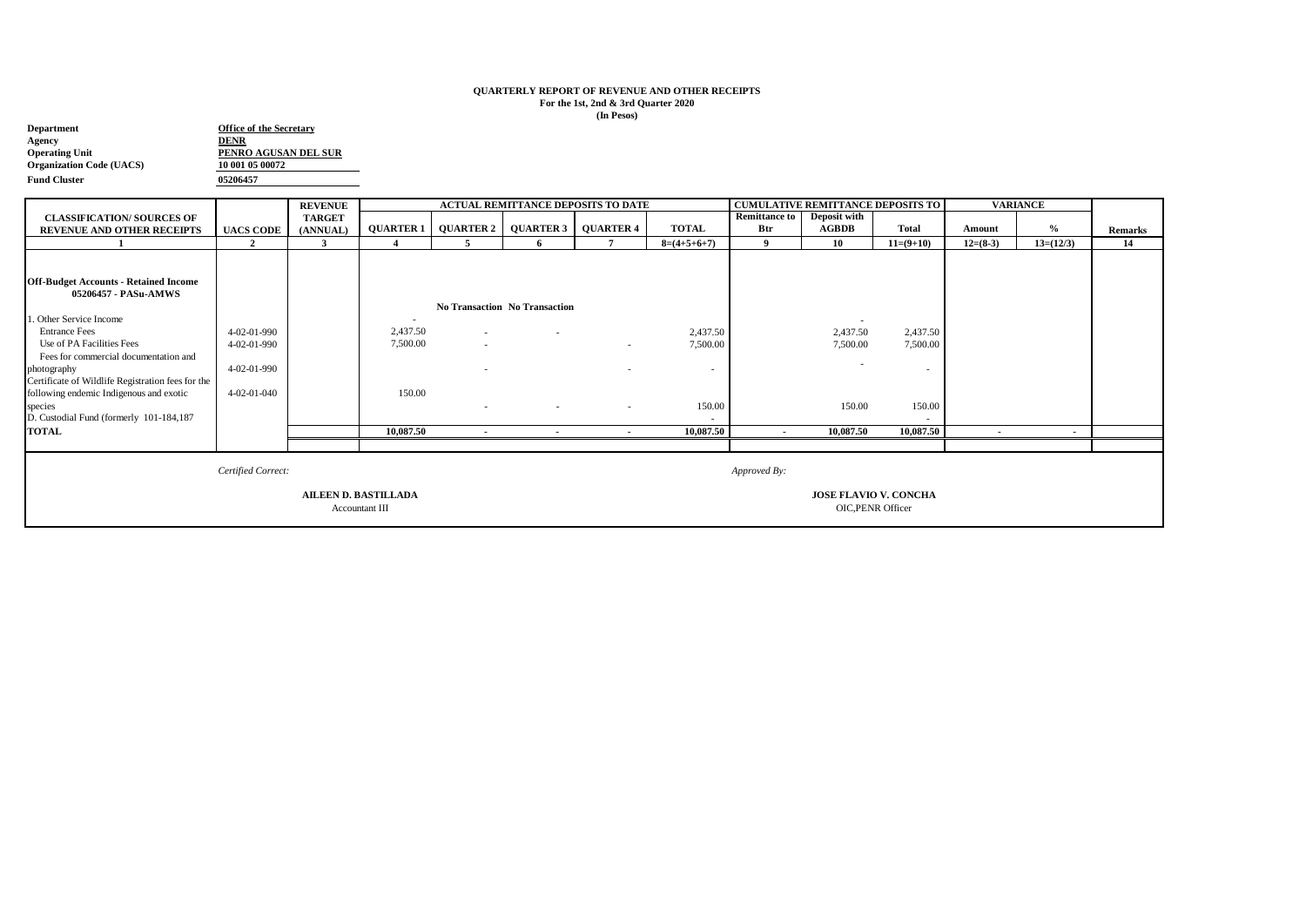## **QUARTERLY REPORT OF REVENUE AND OTHER RECEIPTS For the 1st, 2nd & 3rd Quarter 2020 (In Pesos)**

| <b>Office of the Secretary</b> |  |  |  |  |  |  |
|--------------------------------|--|--|--|--|--|--|
| <b>DENR</b>                    |  |  |  |  |  |  |
| PENRO AGUSAN DEL SUR           |  |  |  |  |  |  |
| 10 001 05 00072                |  |  |  |  |  |  |
| 05206457                       |  |  |  |  |  |  |
|                                |  |  |  |  |  |  |

|                                                   |                    | <b>REVENUE</b> |                  |           | <b>ACTUAL REMITTANCE DEPOSITS TO DATE</b> |                          |                          |                      | <b>CUMULATIVE REMITTANCE DEPOSITS TO</b><br><b>VARIANCE</b> |              |            |             |                |
|---------------------------------------------------|--------------------|----------------|------------------|-----------|-------------------------------------------|--------------------------|--------------------------|----------------------|-------------------------------------------------------------|--------------|------------|-------------|----------------|
| <b>CLASSIFICATION/ SOURCES OF</b>                 |                    | <b>TARGET</b>  |                  |           |                                           |                          |                          | <b>Remittance to</b> | Deposit with                                                |              |            |             |                |
| <b>REVENUE AND OTHER RECEIPTS</b>                 | <b>UACS CODE</b>   | (ANNUAL)       | <b>QUARTER 1</b> | QUARTER 2 | <b>QUARTER 3</b>                          | <b>QUARTER 4</b>         | <b>TOTAL</b>             | Btr                  | <b>AGBDB</b>                                                | <b>Total</b> | Amount     | $\%$        | <b>Remarks</b> |
|                                                   | $\overline{2}$     | 3              |                  |           |                                           | $\overline{ }$           | $8=(4+5+6+7)$            | $\mathbf Q$          | 10                                                          | $11=(9+10)$  | $12=(8-3)$ | $13=(12/3)$ | 14             |
|                                                   |                    |                |                  |           |                                           |                          |                          |                      |                                                             |              |            |             |                |
|                                                   |                    |                |                  |           |                                           |                          |                          |                      |                                                             |              |            |             |                |
| <b>Off-Budget Accounts - Retained Income</b>      |                    |                |                  |           |                                           |                          |                          |                      |                                                             |              |            |             |                |
| 05206457 - PASu-AMWS                              |                    |                |                  |           |                                           |                          |                          |                      |                                                             |              |            |             |                |
|                                                   |                    |                |                  |           | No Transaction No Transaction             |                          |                          |                      |                                                             |              |            |             |                |
| . Other Service Income                            |                    |                |                  |           |                                           |                          |                          |                      |                                                             |              |            |             |                |
| <b>Entrance Fees</b>                              | 4-02-01-990        |                | 2,437.50         | $\sim$    |                                           |                          | 2,437.50                 |                      | 2,437.50                                                    | 2,437.50     |            |             |                |
| Use of PA Facilities Fees                         | 4-02-01-990        |                | 7,500.00         | $\sim$    |                                           | $\sim$                   | 7,500.00                 |                      | 7,500.00                                                    | 7,500.00     |            |             |                |
| Fees for commercial documentation and             |                    |                |                  |           |                                           |                          |                          |                      |                                                             |              |            |             |                |
| photography                                       | 4-02-01-990        |                |                  |           |                                           |                          | $\overline{\phantom{a}}$ |                      |                                                             |              |            |             |                |
| Certificate of Wildlife Registration fees for the |                    |                |                  |           |                                           |                          |                          |                      |                                                             |              |            |             |                |
| following endemic Indigenous and exotic           | 4-02-01-040        |                | 150.00           |           |                                           |                          |                          |                      |                                                             |              |            |             |                |
| species                                           |                    |                |                  |           |                                           |                          | 150.00                   |                      | 150.00                                                      | 150.00       |            |             |                |
| D. Custodial Fund (formerly 101-184,187           |                    |                |                  |           |                                           |                          |                          |                      |                                                             |              |            |             |                |
| <b>TOTAL</b>                                      |                    |                | 10,087.50        | $\sim$    |                                           | $\overline{\phantom{a}}$ | 10,087.50                | $\blacksquare$       | 10,087.50                                                   | 10,087.50    | $\sim$     |             |                |
|                                                   |                    |                |                  |           |                                           |                          |                          |                      |                                                             |              |            |             |                |
|                                                   |                    |                |                  |           |                                           |                          |                          |                      |                                                             |              |            |             |                |
|                                                   | Certified Correct: |                |                  |           |                                           |                          |                          | Approved By:         |                                                             |              |            |             |                |
|                                                   |                    |                |                  |           |                                           |                          |                          |                      |                                                             |              |            |             |                |
| <b>AILEEN D. BASTILLADA</b>                       |                    |                |                  |           |                                           |                          |                          |                      | <b>JOSE FLAVIO V. CONCHA</b>                                |              |            |             |                |
| Accountant III                                    |                    |                |                  |           |                                           |                          |                          |                      | <b>OIC, PENR Officer</b>                                    |              |            |             |                |
|                                                   |                    |                |                  |           |                                           |                          |                          |                      |                                                             |              |            |             |                |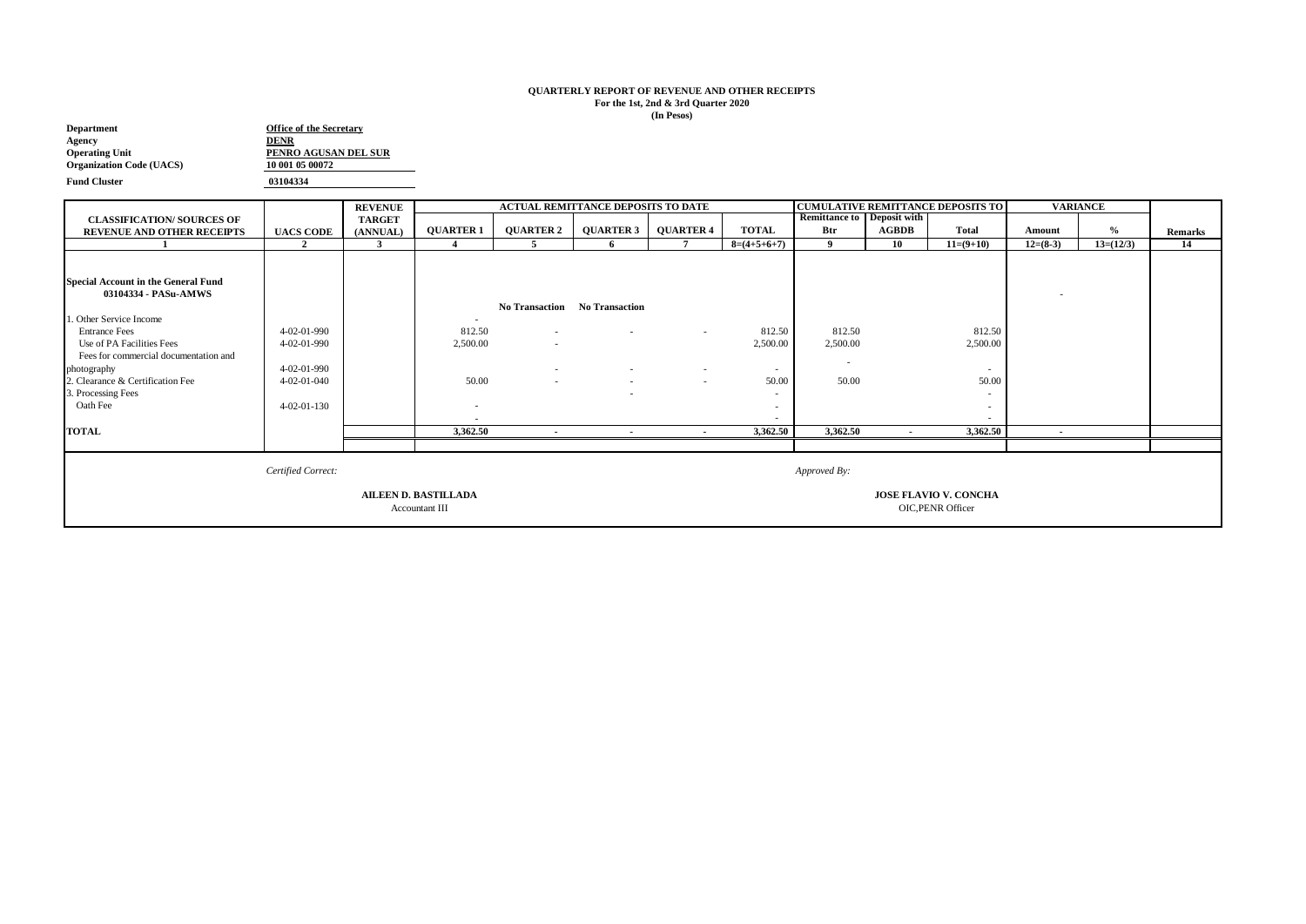## **QUARTERLY REPORT OF REVENUE AND OTHER RECEIPTS For the 1st, 2nd & 3rd Quarter 2020 (In Pesos)**

| <b>Department</b>               | <b>Office of the Secretary</b> |
|---------------------------------|--------------------------------|
| Agency                          | <b>DENR</b>                    |
| <b>Operating Unit</b>           | PENRO AGUSAN DEL SUR           |
| <b>Organization Code (UACS)</b> | 10 001 05 00072                |
| <b>Fund Cluster</b>             | 03104334                       |

|                                            |                     | <b>REVENUE</b> | <b>ACTUAL REMITTANCE DEPOSITS TO DATE</b> |                          |                               |                  |               | <b>VARIANCE</b><br><b>CUMULATIVE REMITTANCE DEPOSITS TO</b> |              |                   |                          |               |                |
|--------------------------------------------|---------------------|----------------|-------------------------------------------|--------------------------|-------------------------------|------------------|---------------|-------------------------------------------------------------|--------------|-------------------|--------------------------|---------------|----------------|
| <b>CLASSIFICATION/ SOURCES OF</b>          |                     | <b>TARGET</b>  |                                           |                          |                               |                  |               | <b>Remittance to Deposit with</b>                           |              |                   |                          |               |                |
| <b>REVENUE AND OTHER RECEIPTS</b>          | <b>UACS CODE</b>    | (ANNUAL)       | <b>QUARTER 1</b>                          | <b>QUARTER 2</b>         | <b>QUARTER 3</b>              | <b>QUARTER 4</b> | <b>TOTAL</b>  | Btr                                                         | <b>AGBDB</b> | <b>Total</b>      | Amount                   | $\frac{0}{0}$ | <b>Remarks</b> |
|                                            | $\overline{2}$      | 3              |                                           | 5                        | 6                             |                  | $8=(4+5+6+7)$ | - 9                                                         | 10           | $11=(9+10)$       | $12=(8-3)$               | $13=(12/3)$   | 14             |
|                                            |                     |                |                                           |                          |                               |                  |               |                                                             |              |                   |                          |               |                |
|                                            |                     |                |                                           |                          |                               |                  |               |                                                             |              |                   |                          |               |                |
| <b>Special Account in the General Fund</b> |                     |                |                                           |                          |                               |                  |               |                                                             |              |                   |                          |               |                |
| 03104334 - PASu-AMWS                       |                     |                |                                           |                          |                               |                  |               |                                                             |              |                   | $\overline{\phantom{a}}$ |               |                |
|                                            |                     |                |                                           |                          | No Transaction No Transaction |                  |               |                                                             |              |                   |                          |               |                |
| . Other Service Income                     |                     |                | $\sim$                                    |                          |                               |                  |               |                                                             |              |                   |                          |               |                |
| <b>Entrance Fees</b>                       | $4 - 02 - 01 - 990$ |                | 812.50                                    | $\sim$                   | $\sim$                        | $\sim$           | 812.50        | 812.50                                                      |              | 812.50            |                          |               |                |
| Use of PA Facilities Fees                  | 4-02-01-990         |                | 2,500.00                                  | $\overline{\phantom{a}}$ |                               |                  | 2,500.00      | 2,500.00                                                    |              | 2,500.00          |                          |               |                |
| Fees for commercial documentation and      |                     |                |                                           |                          |                               |                  |               |                                                             |              |                   |                          |               |                |
| photography                                | 4-02-01-990         |                |                                           |                          | $\sim$                        | $\sim$           | $\sim$        | . .                                                         |              | $\sim$            |                          |               |                |
| 2. Clearance & Certification Fee           | $4 - 02 - 01 - 040$ |                | 50.00                                     |                          | $\sim$                        | $\sim$           | 50.00         | 50.00                                                       |              | 50.00             |                          |               |                |
| 3. Processing Fees                         |                     |                |                                           |                          |                               |                  | ٠             |                                                             |              | ۰                 |                          |               |                |
| Oath Fee                                   | $4 - 02 - 01 - 130$ |                |                                           |                          |                               |                  | $\sim$        |                                                             |              | $\sim$            |                          |               |                |
|                                            |                     |                |                                           |                          |                               |                  | ۰.            |                                                             |              | $\sim$            |                          |               |                |
| <b>TOTAL</b>                               |                     |                | 3,362.50                                  | $\blacksquare$           | $\blacksquare$                | $\sim$           | 3,362.50      | 3,362.50                                                    |              | 3,362.50          | $\blacksquare$           |               |                |
|                                            |                     |                |                                           |                          |                               |                  |               |                                                             |              |                   |                          |               |                |
|                                            |                     |                |                                           |                          |                               |                  |               |                                                             |              |                   |                          |               |                |
|                                            |                     |                | Approved By:                              |                          |                               |                  |               |                                                             |              |                   |                          |               |                |
|                                            |                     |                |                                           |                          |                               |                  |               |                                                             |              |                   |                          |               |                |
|                                            |                     |                |                                           |                          | <b>JOSE FLAVIO V. CONCHA</b>  |                  |               |                                                             |              |                   |                          |               |                |
| Accountant III                             |                     |                |                                           |                          |                               |                  |               |                                                             |              | OIC, PENR Officer |                          |               |                |
|                                            |                     |                |                                           |                          |                               |                  |               |                                                             |              |                   |                          |               |                |